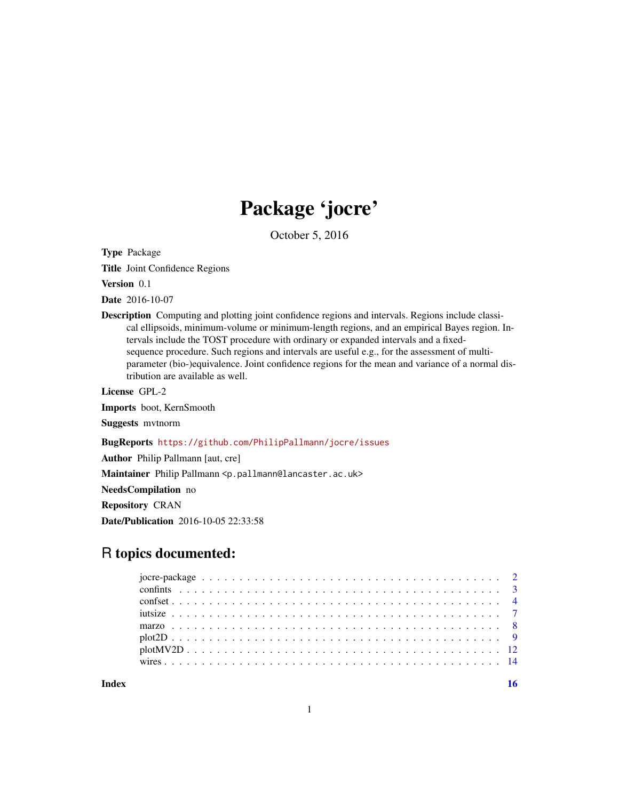## Package 'jocre'

October 5, 2016

Type Package

Title Joint Confidence Regions

Version 0.1

Date 2016-10-07

Description Computing and plotting joint confidence regions and intervals. Regions include classical ellipsoids, minimum-volume or minimum-length regions, and an empirical Bayes region. Intervals include the TOST procedure with ordinary or expanded intervals and a fixedsequence procedure. Such regions and intervals are useful e.g., for the assessment of multiparameter (bio-)equivalence. Joint confidence regions for the mean and variance of a normal distribution are available as well.

License GPL-2

Imports boot, KernSmooth

Suggests mvtnorm

#### BugReports <https://github.com/PhilipPallmann/jocre/issues>

Author Philip Pallmann [aut, cre]

Maintainer Philip Pallmann <p.pallmann@lancaster.ac.uk>

NeedsCompilation no

Repository CRAN

Date/Publication 2016-10-05 22:33:58

### R topics documented:

**Index** the contract of the contract of the contract of the contract of the contract of the contract of the contract of the contract of the contract of the contract of the contract of the contract of the contract of the co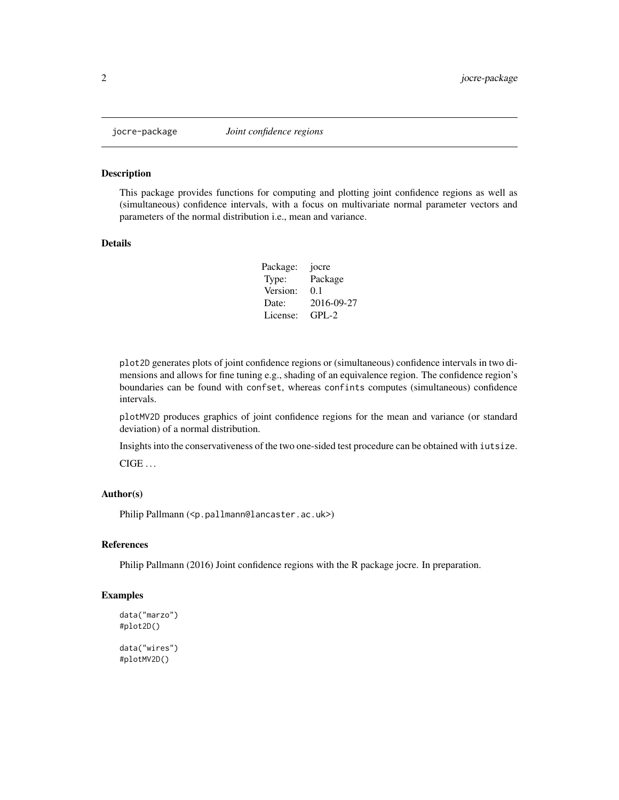<span id="page-1-0"></span>

#### Description

This package provides functions for computing and plotting joint confidence regions as well as (simultaneous) confidence intervals, with a focus on multivariate normal parameter vectors and parameters of the normal distribution i.e., mean and variance.

#### Details

| Package: | jocre      |
|----------|------------|
| Type:    | Package    |
| Version: | 0.1        |
| Date:    | 2016-09-27 |
| License: | $GPI - 2$  |

plot2D generates plots of joint confidence regions or (simultaneous) confidence intervals in two dimensions and allows for fine tuning e.g., shading of an equivalence region. The confidence region's boundaries can be found with confset, whereas confints computes (simultaneous) confidence intervals.

plotMV2D produces graphics of joint confidence regions for the mean and variance (or standard deviation) of a normal distribution.

Insights into the conservativeness of the two one-sided test procedure can be obtained with iutsize.  $CIGE$  ...

#### Author(s)

Philip Pallmann (<p.pallmann@lancaster.ac.uk>)

#### References

Philip Pallmann (2016) Joint confidence regions with the R package jocre. In preparation.

#### Examples

```
data("marzo")
#plot2D()
data("wires")
#plotMV2D()
```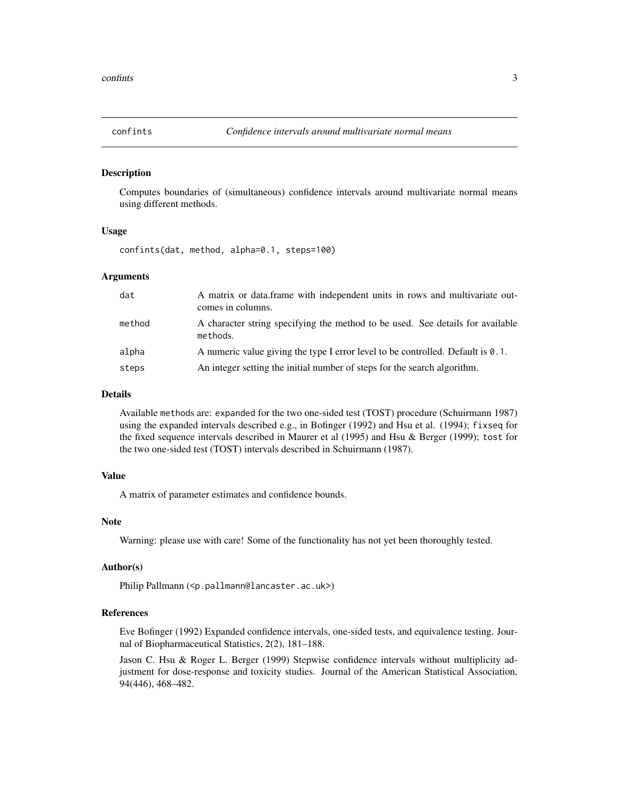<span id="page-2-1"></span><span id="page-2-0"></span>

#### Description

Computes boundaries of (simultaneous) confidence intervals around multivariate normal means using different methods.

#### Usage

confints(dat, method, alpha=0.1, steps=100)

#### Arguments

| dat    | A matrix or data.frame with independent units in rows and multivariate out-<br>comes in columns. |
|--------|--------------------------------------------------------------------------------------------------|
| method | A character string specifying the method to be used. See details for available<br>methods.       |
| alpha  | A numeric value giving the type I error level to be controlled. Default is $\theta$ . 1.         |
| steps  | An integer setting the initial number of steps for the search algorithm.                         |

#### Details

Available methods are: expanded for the two one-sided test (TOST) procedure (Schuirmann 1987) using the expanded intervals described e.g., in Bofinger (1992) and Hsu et al. (1994); fixseq for the fixed sequence intervals described in Maurer et al (1995) and Hsu & Berger (1999); tost for the two one-sided test (TOST) intervals described in Schuirmann (1987).

#### Value

A matrix of parameter estimates and confidence bounds.

#### Note

Warning: please use with care! Some of the functionality has not yet been thoroughly tested.

#### Author(s)

Philip Pallmann (<p.pallmann@lancaster.ac.uk>)

#### References

Eve Bofinger (1992) Expanded confidence intervals, one-sided tests, and equivalence testing. Journal of Biopharmaceutical Statistics, 2(2), 181–188.

Jason C. Hsu & Roger L. Berger (1999) Stepwise confidence intervals without multiplicity adjustment for dose-response and toxicity studies. Journal of the American Statistical Association, 94(446), 468–482.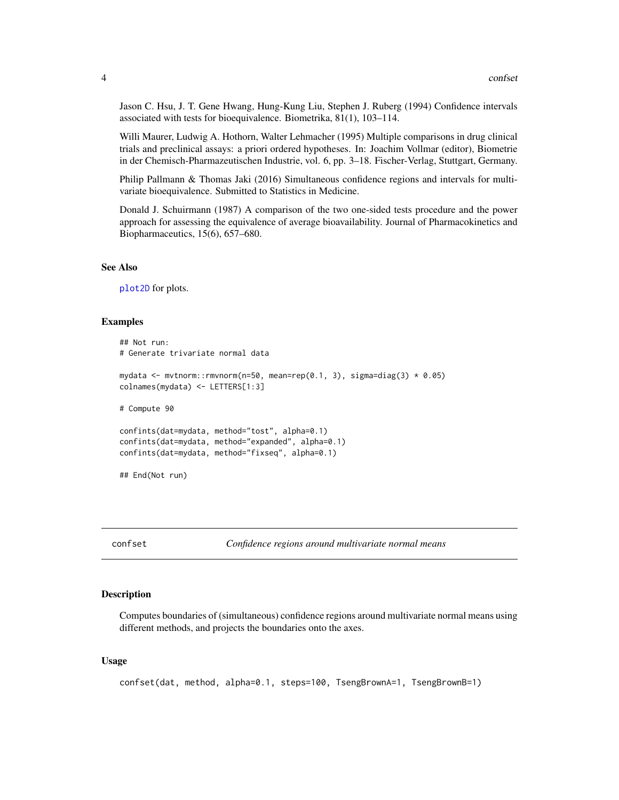<span id="page-3-0"></span>Jason C. Hsu, J. T. Gene Hwang, Hung-Kung Liu, Stephen J. Ruberg (1994) Confidence intervals associated with tests for bioequivalence. Biometrika, 81(1), 103–114.

Willi Maurer, Ludwig A. Hothorn, Walter Lehmacher (1995) Multiple comparisons in drug clinical trials and preclinical assays: a priori ordered hypotheses. In: Joachim Vollmar (editor), Biometrie in der Chemisch-Pharmazeutischen Industrie, vol. 6, pp. 3–18. Fischer-Verlag, Stuttgart, Germany.

Philip Pallmann & Thomas Jaki (2016) Simultaneous confidence regions and intervals for multivariate bioequivalence. Submitted to Statistics in Medicine.

Donald J. Schuirmann (1987) A comparison of the two one-sided tests procedure and the power approach for assessing the equivalence of average bioavailability. Journal of Pharmacokinetics and Biopharmaceutics, 15(6), 657–680.

#### See Also

[plot2D](#page-8-1) for plots.

#### Examples

```
## Not run:
# Generate trivariate normal data
mydata <- mvtnorm::rmvnorm(n=50, mean=rep(0.1, 3), sigma=diag(3) * 0.05)
colnames(mydata) <- LETTERS[1:3]
# Compute 90
confints(dat=mydata, method="tost", alpha=0.1)
confints(dat=mydata, method="expanded", alpha=0.1)
confints(dat=mydata, method="fixseq", alpha=0.1)
## End(Not run)
```
<span id="page-3-1"></span>confset *Confidence regions around multivariate normal means*

#### Description

Computes boundaries of (simultaneous) confidence regions around multivariate normal means using different methods, and projects the boundaries onto the axes.

#### Usage

```
confset(dat, method, alpha=0.1, steps=100, TsengBrownA=1, TsengBrownB=1)
```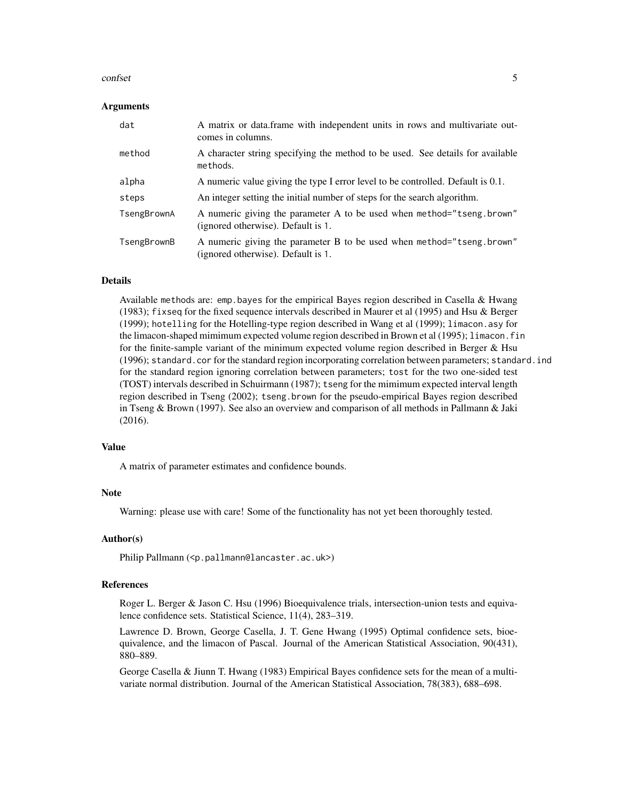#### confset 5

#### Arguments

| dat         | A matrix or data frame with independent units in rows and multivariate out-<br>comes in columns.            |
|-------------|-------------------------------------------------------------------------------------------------------------|
| method      | A character string specifying the method to be used. See details for available<br>methods.                  |
| alpha       | A numeric value giving the type I error level to be controlled. Default is 0.1.                             |
| steps       | An integer setting the initial number of steps for the search algorithm.                                    |
| TsengBrownA | A numeric giving the parameter A to be used when method="tseng.brown"<br>(ignored otherwise). Default is 1. |
| TsengBrownB | A numeric giving the parameter B to be used when method="tseng.brown"<br>(ignored otherwise). Default is 1. |

#### Details

Available methods are: emp.bayes for the empirical Bayes region described in Casella & Hwang (1983); fixseq for the fixed sequence intervals described in Maurer et al (1995) and Hsu & Berger (1999); hotelling for the Hotelling-type region described in Wang et al (1999); limacon.asy for the limacon-shaped mimimum expected volume region described in Brown et al (1995); limacon.fin for the finite-sample variant of the minimum expected volume region described in Berger & Hsu (1996); standard.cor for the standard region incorporating correlation between parameters; standard.ind for the standard region ignoring correlation between parameters; tost for the two one-sided test (TOST) intervals described in Schuirmann (1987); tseng for the mimimum expected interval length region described in Tseng (2002); tseng.brown for the pseudo-empirical Bayes region described in Tseng & Brown (1997). See also an overview and comparison of all methods in Pallmann & Jaki (2016).

#### Value

A matrix of parameter estimates and confidence bounds.

#### **Note**

Warning: please use with care! Some of the functionality has not yet been thoroughly tested.

#### Author(s)

Philip Pallmann (<p.pallmann@lancaster.ac.uk>)

#### References

Roger L. Berger & Jason C. Hsu (1996) Bioequivalence trials, intersection-union tests and equivalence confidence sets. Statistical Science, 11(4), 283–319.

Lawrence D. Brown, George Casella, J. T. Gene Hwang (1995) Optimal confidence sets, bioequivalence, and the limacon of Pascal. Journal of the American Statistical Association, 90(431), 880–889.

George Casella & Jiunn T. Hwang (1983) Empirical Bayes confidence sets for the mean of a multivariate normal distribution. Journal of the American Statistical Association, 78(383), 688–698.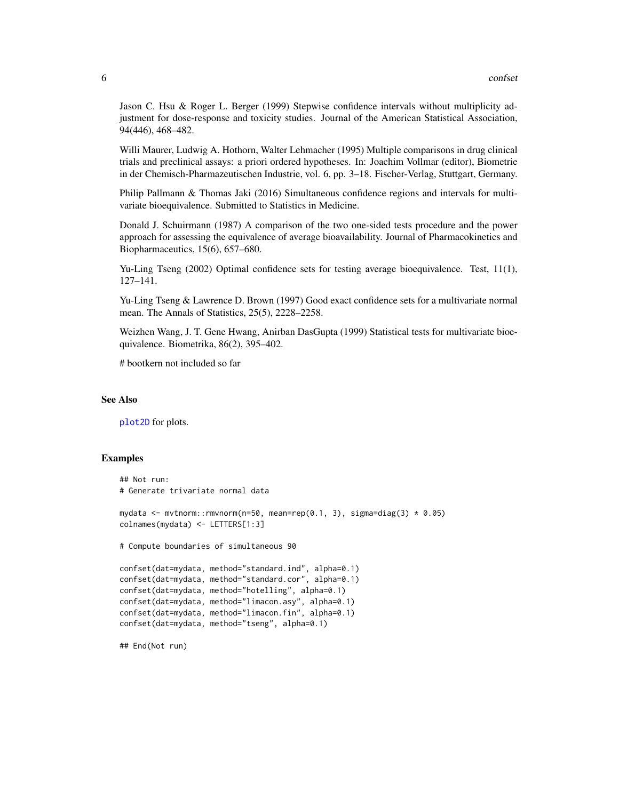<span id="page-5-0"></span>Jason C. Hsu & Roger L. Berger (1999) Stepwise confidence intervals without multiplicity adjustment for dose-response and toxicity studies. Journal of the American Statistical Association, 94(446), 468–482.

Willi Maurer, Ludwig A. Hothorn, Walter Lehmacher (1995) Multiple comparisons in drug clinical trials and preclinical assays: a priori ordered hypotheses. In: Joachim Vollmar (editor), Biometrie in der Chemisch-Pharmazeutischen Industrie, vol. 6, pp. 3–18. Fischer-Verlag, Stuttgart, Germany.

Philip Pallmann & Thomas Jaki (2016) Simultaneous confidence regions and intervals for multivariate bioequivalence. Submitted to Statistics in Medicine.

Donald J. Schuirmann (1987) A comparison of the two one-sided tests procedure and the power approach for assessing the equivalence of average bioavailability. Journal of Pharmacokinetics and Biopharmaceutics, 15(6), 657–680.

Yu-Ling Tseng (2002) Optimal confidence sets for testing average bioequivalence. Test, 11(1), 127–141.

Yu-Ling Tseng & Lawrence D. Brown (1997) Good exact confidence sets for a multivariate normal mean. The Annals of Statistics, 25(5), 2228–2258.

Weizhen Wang, J. T. Gene Hwang, Anirban DasGupta (1999) Statistical tests for multivariate bioequivalence. Biometrika, 86(2), 395–402.

# bootkern not included so far

#### See Also

[plot2D](#page-8-1) for plots.

#### Examples

```
## Not run:
# Generate trivariate normal data
mydata <- mvtnorm::rmvnorm(n=50, mean=rep(0.1, 3), sigma=diag(3) * 0.05)
colnames(mydata) <- LETTERS[1:3]
# Compute boundaries of simultaneous 90
confset(dat=mydata, method="standard.ind", alpha=0.1)
confset(dat=mydata, method="standard.cor", alpha=0.1)
confset(dat=mydata, method="hotelling", alpha=0.1)
confset(dat=mydata, method="limacon.asy", alpha=0.1)
confset(dat=mydata, method="limacon.fin", alpha=0.1)
confset(dat=mydata, method="tseng", alpha=0.1)
```
## End(Not run)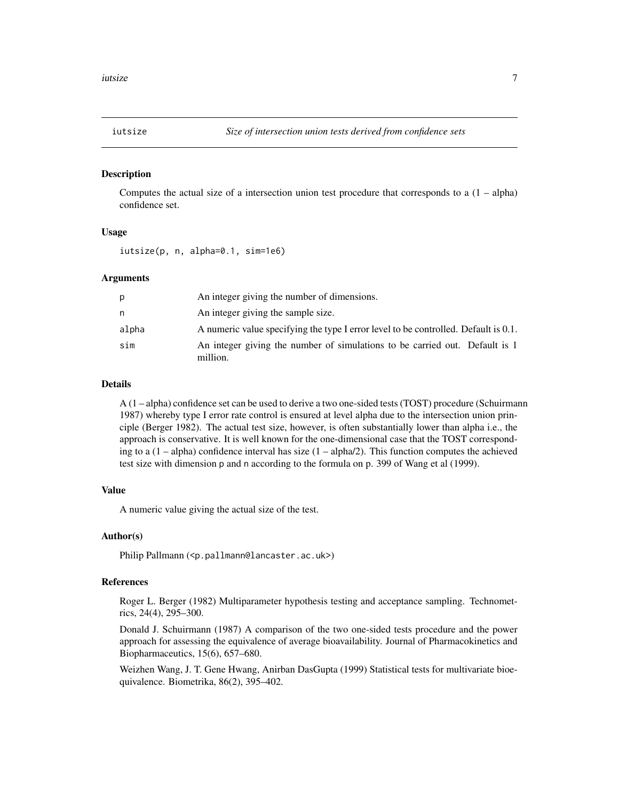<span id="page-6-0"></span>

#### Description

Computes the actual size of a intersection union test procedure that corresponds to a  $(1 - \text{alpha})$ confidence set.

#### Usage

iutsize(p, n, alpha=0.1, sim=1e6)

#### Arguments

| p     | An integer giving the number of dimensions.                                             |
|-------|-----------------------------------------------------------------------------------------|
| n.    | An integer giving the sample size.                                                      |
| alpha | A numeric value specifying the type I error level to be controlled. Default is 0.1.     |
| sim   | An integer giving the number of simulations to be carried out. Default is 1<br>million. |

#### Details

A (1 – alpha) confidence set can be used to derive a two one-sided tests (TOST) procedure (Schuirmann 1987) whereby type I error rate control is ensured at level alpha due to the intersection union principle (Berger 1982). The actual test size, however, is often substantially lower than alpha i.e., the approach is conservative. It is well known for the one-dimensional case that the TOST corresponding to a  $(1 - \alpha)$  confidence interval has size  $(1 - \alpha)$ . This function computes the achieved test size with dimension p and n according to the formula on p. 399 of Wang et al (1999).

#### Value

A numeric value giving the actual size of the test.

#### Author(s)

Philip Pallmann (<p.pallmann@lancaster.ac.uk>)

#### References

Roger L. Berger (1982) Multiparameter hypothesis testing and acceptance sampling. Technometrics, 24(4), 295–300.

Donald J. Schuirmann (1987) A comparison of the two one-sided tests procedure and the power approach for assessing the equivalence of average bioavailability. Journal of Pharmacokinetics and Biopharmaceutics, 15(6), 657–680.

Weizhen Wang, J. T. Gene Hwang, Anirban DasGupta (1999) Statistical tests for multivariate bioequivalence. Biometrika, 86(2), 395–402.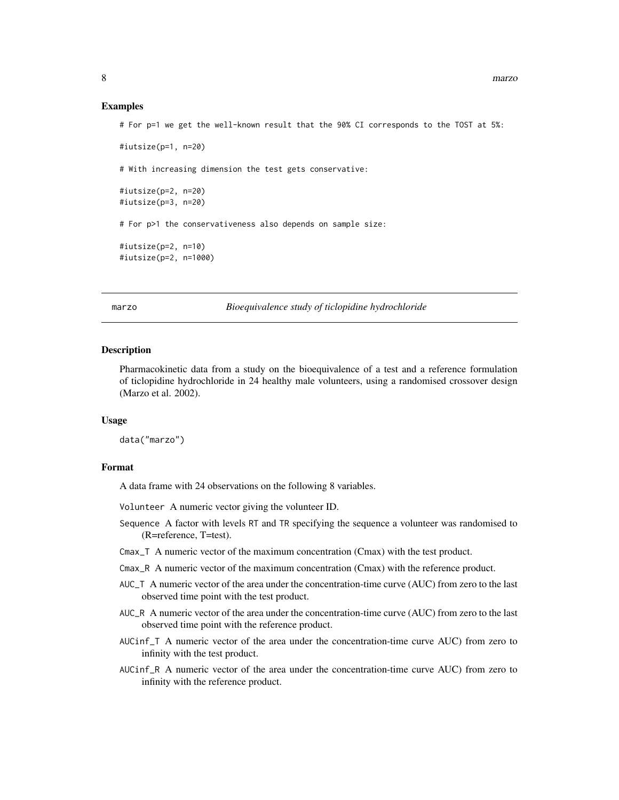#### Examples

# For p=1 we get the well-known result that the 90% CI corresponds to the TOST at 5%:

```
#iutsize(p=1, n=20)
# With increasing dimension the test gets conservative:
#iutsize(p=2, n=20)
#iutsize(p=3, n=20)
# For p>1 the conservativeness also depends on sample size:
#iutsize(p=2, n=10)
#iutsize(p=2, n=1000)
```
marzo *Bioequivalence study of ticlopidine hydrochloride*

#### Description

Pharmacokinetic data from a study on the bioequivalence of a test and a reference formulation of ticlopidine hydrochloride in 24 healthy male volunteers, using a randomised crossover design (Marzo et al. 2002).

#### Usage

data("marzo")

#### Format

A data frame with 24 observations on the following 8 variables.

Volunteer A numeric vector giving the volunteer ID.

- Sequence A factor with levels RT and TR specifying the sequence a volunteer was randomised to (R=reference, T=test).
- Cmax\_T A numeric vector of the maximum concentration (Cmax) with the test product.
- Cmax\_R A numeric vector of the maximum concentration (Cmax) with the reference product.
- AUC\_T A numeric vector of the area under the concentration-time curve (AUC) from zero to the last observed time point with the test product.
- AUC\_R A numeric vector of the area under the concentration-time curve (AUC) from zero to the last observed time point with the reference product.
- AUCinf\_T A numeric vector of the area under the concentration-time curve AUC) from zero to infinity with the test product.
- AUCinf\_R A numeric vector of the area under the concentration-time curve AUC) from zero to infinity with the reference product.

<span id="page-7-0"></span>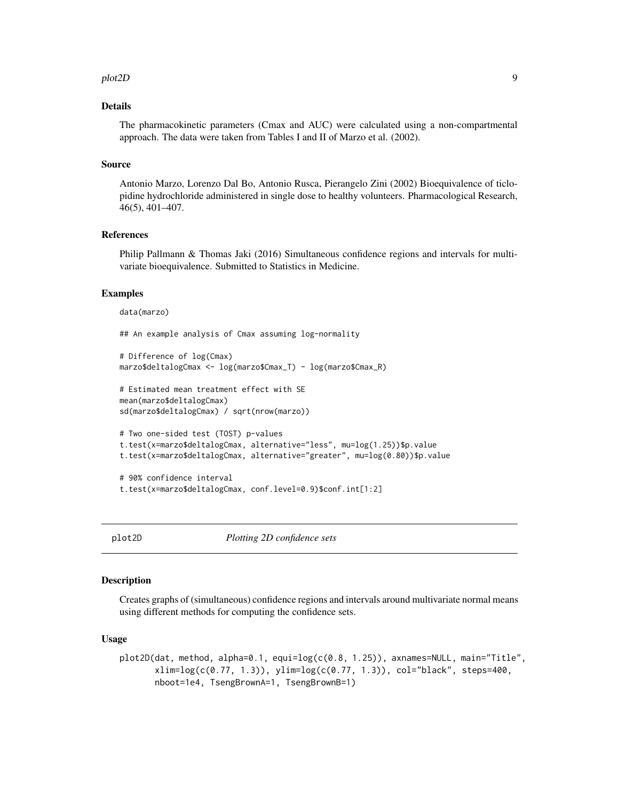#### <span id="page-8-0"></span>plot2D 9

#### Details

The pharmacokinetic parameters (Cmax and AUC) were calculated using a non-compartmental approach. The data were taken from Tables I and II of Marzo et al. (2002).

#### Source

Antonio Marzo, Lorenzo Dal Bo, Antonio Rusca, Pierangelo Zini (2002) Bioequivalence of ticlopidine hydrochloride administered in single dose to healthy volunteers. Pharmacological Research, 46(5), 401–407.

#### References

Philip Pallmann & Thomas Jaki (2016) Simultaneous confidence regions and intervals for multivariate bioequivalence. Submitted to Statistics in Medicine.

#### Examples

data(marzo) ## An example analysis of Cmax assuming log-normality # Difference of log(Cmax) marzo\$deltalogCmax <- log(marzo\$Cmax\_T) - log(marzo\$Cmax\_R) # Estimated mean treatment effect with SE mean(marzo\$deltalogCmax) sd(marzo\$deltalogCmax) / sqrt(nrow(marzo)) # Two one-sided test (TOST) p-values t.test(x=marzo\$deltalogCmax, alternative="less", mu=log(1.25))\$p.value t.test(x=marzo\$deltalogCmax, alternative="greater", mu=log(0.80))\$p.value # 90% confidence interval

```
t.test(x=marzo$deltalogCmax, conf.level=0.9)$conf.int[1:2]
```
<span id="page-8-1"></span>

plot2D *Plotting 2D confidence sets*

#### Description

Creates graphs of (simultaneous) confidence regions and intervals around multivariate normal means using different methods for computing the confidence sets.

#### Usage

```
plot2D(dat, method, alpha=0.1, equi=log(c(0.8, 1.25)), axnames=NULL, main="Title",
       xlim=log(c(0.77, 1.3)), ylim=log(c(0.77, 1.3)), col="black", steps=400,
       nboot=1e4, TsengBrownA=1, TsengBrownB=1)
```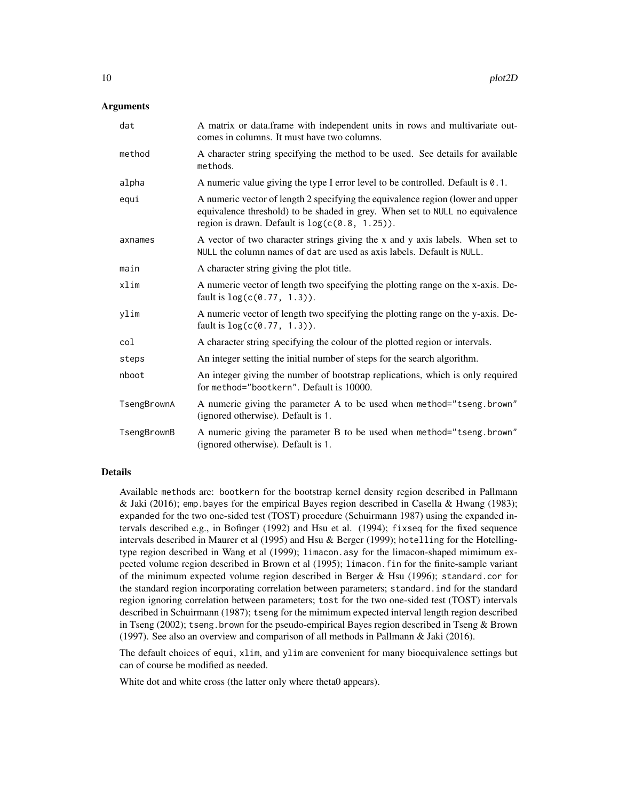#### Arguments

| dat         | A matrix or data.frame with independent units in rows and multivariate out-<br>comes in columns. It must have two columns.                                                                                           |
|-------------|----------------------------------------------------------------------------------------------------------------------------------------------------------------------------------------------------------------------|
| method      | A character string specifying the method to be used. See details for available<br>methods.                                                                                                                           |
| alpha       | A numeric value giving the type I error level to be controlled. Default is 0.1.                                                                                                                                      |
| equi        | A numeric vector of length 2 specifying the equivalence region (lower and upper<br>equivalence threshold) to be shaded in grey. When set to NULL no equivalence<br>region is drawn. Default is $log(c(0.8, 1.25))$ . |
| axnames     | A vector of two character strings giving the x and y axis labels. When set to<br>NULL the column names of dat are used as axis labels. Default is NULL.                                                              |
| main        | A character string giving the plot title.                                                                                                                                                                            |
| xlim        | A numeric vector of length two specifying the plotting range on the x-axis. De-<br>fault is $log(c(0.77, 1.3))$ .                                                                                                    |
| ylim        | A numeric vector of length two specifying the plotting range on the y-axis. De-<br>fault is $log(c(0.77, 1.3))$ .                                                                                                    |
| col         | A character string specifying the colour of the plotted region or intervals.                                                                                                                                         |
| steps       | An integer setting the initial number of steps for the search algorithm.                                                                                                                                             |
| nboot       | An integer giving the number of bootstrap replications, which is only required<br>for method="bootkern". Default is 10000.                                                                                           |
| TsengBrownA | A numeric giving the parameter A to be used when method="tseng.brown"<br>(ignored otherwise). Default is 1.                                                                                                          |
| TsengBrownB | A numeric giving the parameter B to be used when method="tseng.brown"<br>(ignored otherwise). Default is 1.                                                                                                          |

#### Details

Available methods are: bootkern for the bootstrap kernel density region described in Pallmann & Jaki (2016); emp. bayes for the empirical Bayes region described in Casella & Hwang (1983); expanded for the two one-sided test (TOST) procedure (Schuirmann 1987) using the expanded intervals described e.g., in Bofinger (1992) and Hsu et al. (1994); fixseq for the fixed sequence intervals described in Maurer et al (1995) and Hsu & Berger (1999); hotelling for the Hotellingtype region described in Wang et al (1999); limacon.asy for the limacon-shaped mimimum expected volume region described in Brown et al (1995); limacon.fin for the finite-sample variant of the minimum expected volume region described in Berger & Hsu (1996); standard.cor for the standard region incorporating correlation between parameters; standard.ind for the standard region ignoring correlation between parameters; tost for the two one-sided test (TOST) intervals described in Schuirmann (1987); tseng for the mimimum expected interval length region described in Tseng (2002); tseng.brown for the pseudo-empirical Bayes region described in Tseng  $\&$  Brown (1997). See also an overview and comparison of all methods in Pallmann & Jaki (2016).

The default choices of equi, xlim, and ylim are convenient for many bioequivalence settings but can of course be modified as needed.

White dot and white cross (the latter only where theta0 appears).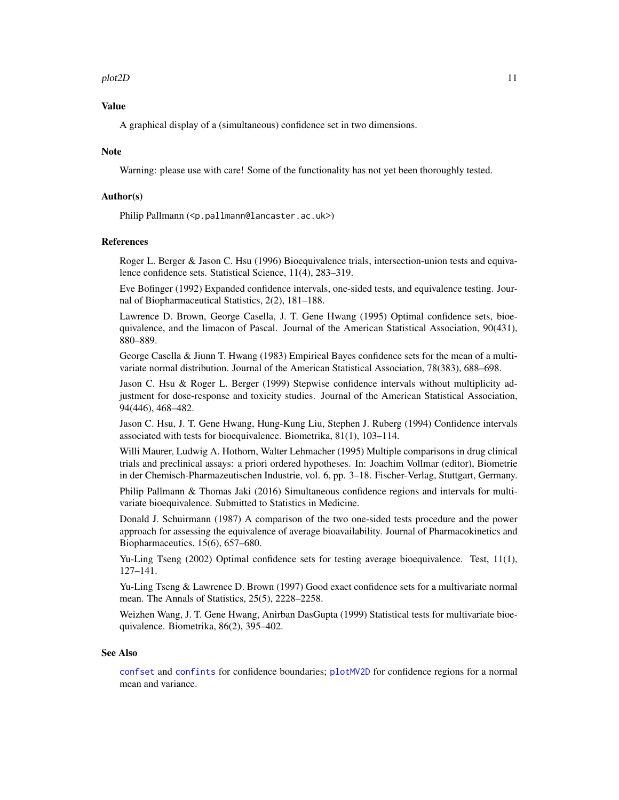#### <span id="page-10-0"></span>plot2D 11

#### Value

A graphical display of a (simultaneous) confidence set in two dimensions.

#### Note

Warning: please use with care! Some of the functionality has not yet been thoroughly tested.

#### Author(s)

Philip Pallmann (<p.pallmann@lancaster.ac.uk>)

#### References

Roger L. Berger & Jason C. Hsu (1996) Bioequivalence trials, intersection-union tests and equivalence confidence sets. Statistical Science, 11(4), 283–319.

Eve Bofinger (1992) Expanded confidence intervals, one-sided tests, and equivalence testing. Journal of Biopharmaceutical Statistics, 2(2), 181–188.

Lawrence D. Brown, George Casella, J. T. Gene Hwang (1995) Optimal confidence sets, bioequivalence, and the limacon of Pascal. Journal of the American Statistical Association, 90(431), 880–889.

George Casella & Jiunn T. Hwang (1983) Empirical Bayes confidence sets for the mean of a multivariate normal distribution. Journal of the American Statistical Association, 78(383), 688–698.

Jason C. Hsu & Roger L. Berger (1999) Stepwise confidence intervals without multiplicity adjustment for dose-response and toxicity studies. Journal of the American Statistical Association, 94(446), 468–482.

Jason C. Hsu, J. T. Gene Hwang, Hung-Kung Liu, Stephen J. Ruberg (1994) Confidence intervals associated with tests for bioequivalence. Biometrika, 81(1), 103–114.

Willi Maurer, Ludwig A. Hothorn, Walter Lehmacher (1995) Multiple comparisons in drug clinical trials and preclinical assays: a priori ordered hypotheses. In: Joachim Vollmar (editor), Biometrie in der Chemisch-Pharmazeutischen Industrie, vol. 6, pp. 3–18. Fischer-Verlag, Stuttgart, Germany.

Philip Pallmann & Thomas Jaki (2016) Simultaneous confidence regions and intervals for multivariate bioequivalence. Submitted to Statistics in Medicine.

Donald J. Schuirmann (1987) A comparison of the two one-sided tests procedure and the power approach for assessing the equivalence of average bioavailability. Journal of Pharmacokinetics and Biopharmaceutics, 15(6), 657–680.

Yu-Ling Tseng (2002) Optimal confidence sets for testing average bioequivalence. Test, 11(1), 127–141.

Yu-Ling Tseng & Lawrence D. Brown (1997) Good exact confidence sets for a multivariate normal mean. The Annals of Statistics, 25(5), 2228–2258.

Weizhen Wang, J. T. Gene Hwang, Anirban DasGupta (1999) Statistical tests for multivariate bioequivalence. Biometrika, 86(2), 395–402.

#### See Also

[confset](#page-3-1) and [confints](#page-2-1) for confidence boundaries; [plotMV2D](#page-11-1) for confidence regions for a normal mean and variance.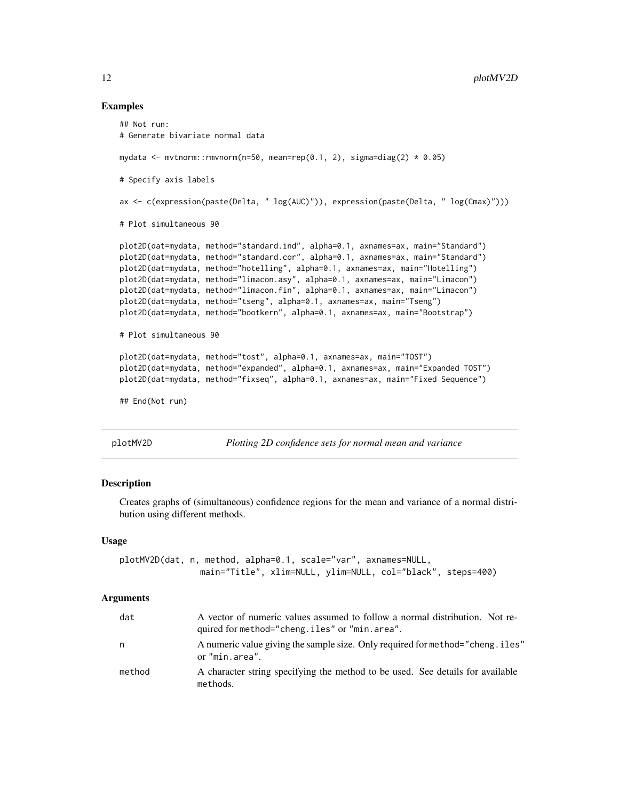#### Examples

```
## Not run:
# Generate bivariate normal data
mydata <- mvtnorm::rmvnorm(n=50, mean=rep(0.1, 2), sigma=diag(2) * 0.05)
# Specify axis labels
ax <- c(expression(paste(Delta, " log(AUC)")), expression(paste(Delta, " log(Cmax)")))
# Plot simultaneous 90
plot2D(dat=mydata, method="standard.ind", alpha=0.1, axnames=ax, main="Standard")
plot2D(dat=mydata, method="standard.cor", alpha=0.1, axnames=ax, main="Standard")
plot2D(dat=mydata, method="hotelling", alpha=0.1, axnames=ax, main="Hotelling")
plot2D(dat=mydata, method="limacon.asy", alpha=0.1, axnames=ax, main="Limacon")
plot2D(dat=mydata, method="limacon.fin", alpha=0.1, axnames=ax, main="Limacon")
plot2D(dat=mydata, method="tseng", alpha=0.1, axnames=ax, main="Tseng")
plot2D(dat=mydata, method="bootkern", alpha=0.1, axnames=ax, main="Bootstrap")
# Plot simultaneous 90
plot2D(dat=mydata, method="tost", alpha=0.1, axnames=ax, main="TOST")
plot2D(dat=mydata, method="expanded", alpha=0.1, axnames=ax, main="Expanded TOST")
plot2D(dat=mydata, method="fixseq", alpha=0.1, axnames=ax, main="Fixed Sequence")
## End(Not run)
```
<span id="page-11-1"></span>

plotMV2D *Plotting 2D confidence sets for normal mean and variance*

#### Description

Creates graphs of (simultaneous) confidence regions for the mean and variance of a normal distribution using different methods.

#### Usage

```
plotMV2D(dat, n, method, alpha=0.1, scale="var", axnames=NULL,
                main="Title", xlim=NULL, ylim=NULL, col="black", steps=400)
```
#### Arguments

| dat    | A vector of numeric values assumed to follow a normal distribution. Not re-<br>quired for method="cheng.iles" or "min.area". |
|--------|------------------------------------------------------------------------------------------------------------------------------|
| n      | A numeric value giving the sample size. Only required for method="cheng. iles"<br>or "min.area".                             |
| method | A character string specifying the method to be used. See details for available<br>methods.                                   |

<span id="page-11-0"></span>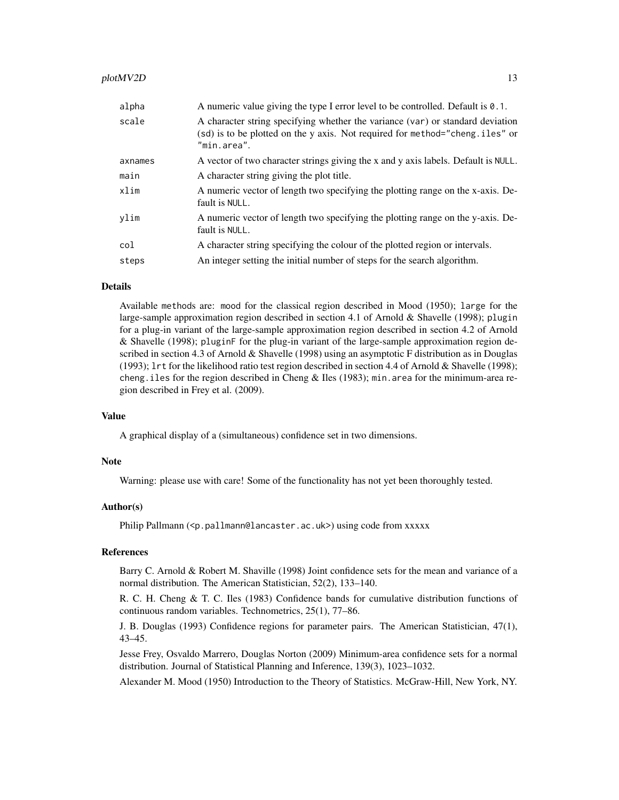#### plotMV2D 13

| alpha   | A numeric value giving the type I error level to be controlled. Default is 0.1.                                                                                               |
|---------|-------------------------------------------------------------------------------------------------------------------------------------------------------------------------------|
| scale   | A character string specifying whether the variance (var) or standard deviation<br>(sd) is to be plotted on the y axis. Not required for method="cheng.iles" or<br>"min.area". |
| axnames | A vector of two character strings giving the x and y axis labels. Default is NULL.                                                                                            |
| main    | A character string giving the plot title.                                                                                                                                     |
| xlim    | A numeric vector of length two specifying the plotting range on the x-axis. De-<br>fault is NULL.                                                                             |
| ylim    | A numeric vector of length two specifying the plotting range on the y-axis. De-<br>fault is NULL.                                                                             |
| col     | A character string specifying the colour of the plotted region or intervals.                                                                                                  |
| steps   | An integer setting the initial number of steps for the search algorithm.                                                                                                      |

#### Details

Available methods are: mood for the classical region described in Mood (1950); large for the large-sample approximation region described in section 4.1 of Arnold & Shavelle (1998); plugin for a plug-in variant of the large-sample approximation region described in section 4.2 of Arnold & Shavelle (1998); pluginF for the plug-in variant of the large-sample approximation region described in section 4.3 of Arnold & Shavelle (1998) using an asymptotic F distribution as in Douglas (1993); lrt for the likelihood ratio test region described in section 4.4 of Arnold & Shavelle (1998); cheng.iles for the region described in Cheng & Iles (1983); min.area for the minimum-area region described in Frey et al. (2009).

#### Value

A graphical display of a (simultaneous) confidence set in two dimensions.

#### Note

Warning: please use with care! Some of the functionality has not yet been thoroughly tested.

#### Author(s)

Philip Pallmann (<p.pallmann@lancaster.ac.uk>) using code from xxxxx

#### References

Barry C. Arnold & Robert M. Shaville (1998) Joint confidence sets for the mean and variance of a normal distribution. The American Statistician, 52(2), 133–140.

R. C. H. Cheng & T. C. Iles (1983) Confidence bands for cumulative distribution functions of continuous random variables. Technometrics, 25(1), 77–86.

J. B. Douglas (1993) Confidence regions for parameter pairs. The American Statistician, 47(1), 43–45.

Jesse Frey, Osvaldo Marrero, Douglas Norton (2009) Minimum-area confidence sets for a normal distribution. Journal of Statistical Planning and Inference, 139(3), 1023–1032.

Alexander M. Mood (1950) Introduction to the Theory of Statistics. McGraw-Hill, New York, NY.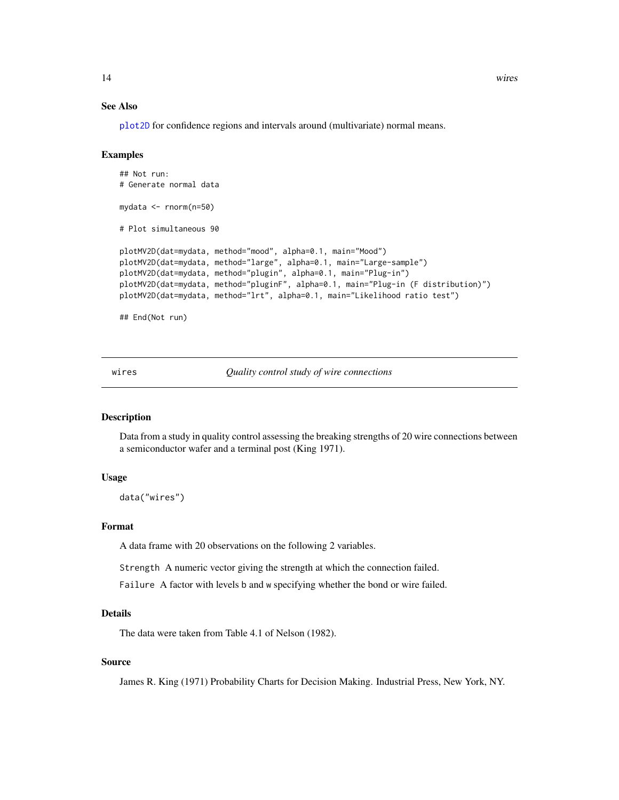#### See Also

[plot2D](#page-8-1) for confidence regions and intervals around (multivariate) normal means.

#### Examples

```
## Not run:
# Generate normal data
mydata <- rnorm(n=50)
# Plot simultaneous 90
plotMV2D(dat=mydata, method="mood", alpha=0.1, main="Mood")
plotMV2D(dat=mydata, method="large", alpha=0.1, main="Large-sample")
plotMV2D(dat=mydata, method="plugin", alpha=0.1, main="Plug-in")
plotMV2D(dat=mydata, method="pluginF", alpha=0.1, main="Plug-in (F distribution)")
plotMV2D(dat=mydata, method="lrt", alpha=0.1, main="Likelihood ratio test")
```
## End(Not run)

wires *Quality control study of wire connections*

#### Description

Data from a study in quality control assessing the breaking strengths of 20 wire connections between a semiconductor wafer and a terminal post (King 1971).

#### Usage

data("wires")

#### Format

A data frame with 20 observations on the following 2 variables.

Strength A numeric vector giving the strength at which the connection failed.

Failure A factor with levels b and w specifying whether the bond or wire failed.

#### Details

The data were taken from Table 4.1 of Nelson (1982).

#### Source

James R. King (1971) Probability Charts for Decision Making. Industrial Press, New York, NY.

<span id="page-13-0"></span>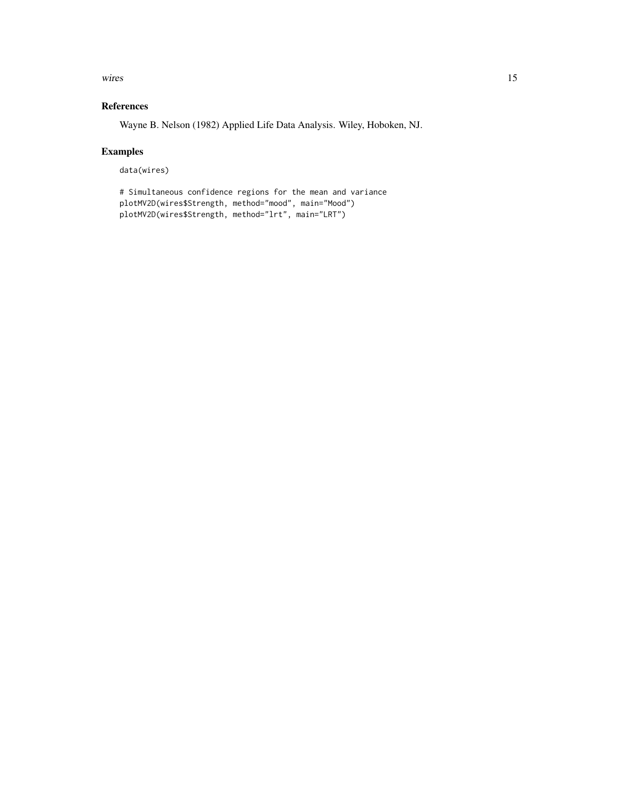wires and the contract of the contract of the contract of the contract of the contract of the contract of the contract of the contract of the contract of the contract of the contract of the contract of the contract of the

#### References

Wayne B. Nelson (1982) Applied Life Data Analysis. Wiley, Hoboken, NJ.

#### Examples

data(wires)

```
# Simultaneous confidence regions for the mean and variance
plotMV2D(wires$Strength, method="mood", main="Mood")
plotMV2D(wires$Strength, method="lrt", main="LRT")
```